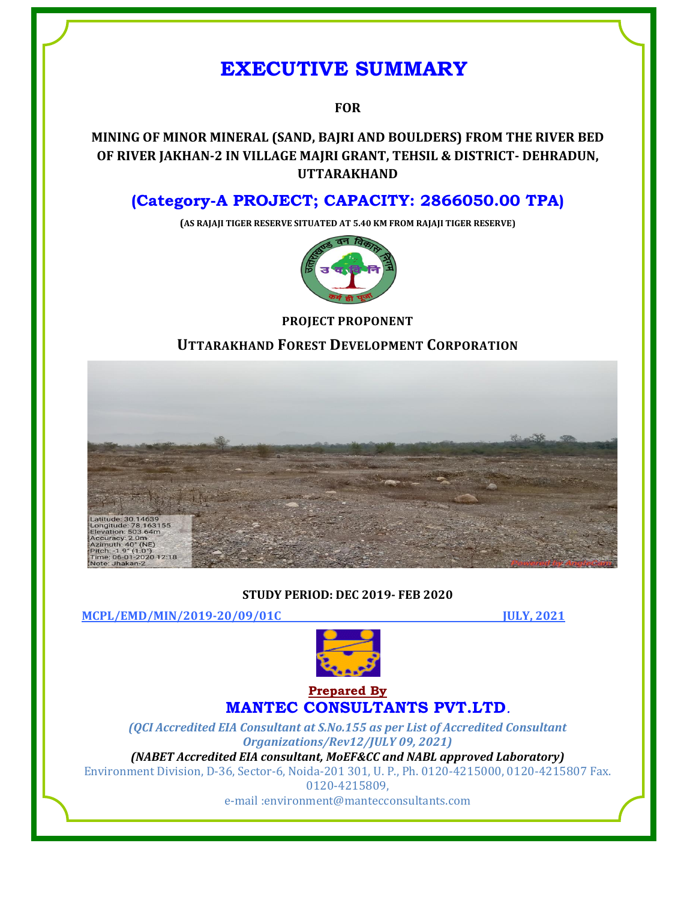# **EXECUTIVE SUMMARY**

# **FOR**

# **MINING OF MINOR MINERAL (SAND, BAJRI AND BOULDERS) FROM THE RIVER BED OF RIVER JAKHAN-2 IN VILLAGE MAJRI GRANT, TEHSIL & DISTRICT- DEHRADUN, UTTARAKHAND**

# **(Category-A PROJECT; CAPACITY: 2866050.00 TPA)**

**(AS RAJAJI TIGER RESERVE SITUATED AT 5.40 KM FROM RAJAJI TIGER RESERVE)**



## **PROJECT PROPONENT**

**UTTARAKHAND FOREST DEVELOPMENT CORPORATION**



## **STUDY PERIOD: DEC 2019- FEB 2020**

**MCPL/EMD/MIN/2019-20/09/01C JULY, 2021**



# **Prepared By MANTEC CONSULTANTS PVT.LTD***.*

*(QCI Accredited EIA Consultant at S.No.155 as per List of Accredited Consultant Organizations/Rev12/JULY 09, 2021)*

*(NABET Accredited EIA consultant, MoEF&CC and NABL approved Laboratory)* Environment Division, D-36, Sector-6, Noida-201 301, U. P., Ph. 0120-4215000, 0120-4215807 Fax. 0120-4215809,

e-mail [:environment@mantecconsultants.com](mailto:environment@mantecconsultants.com)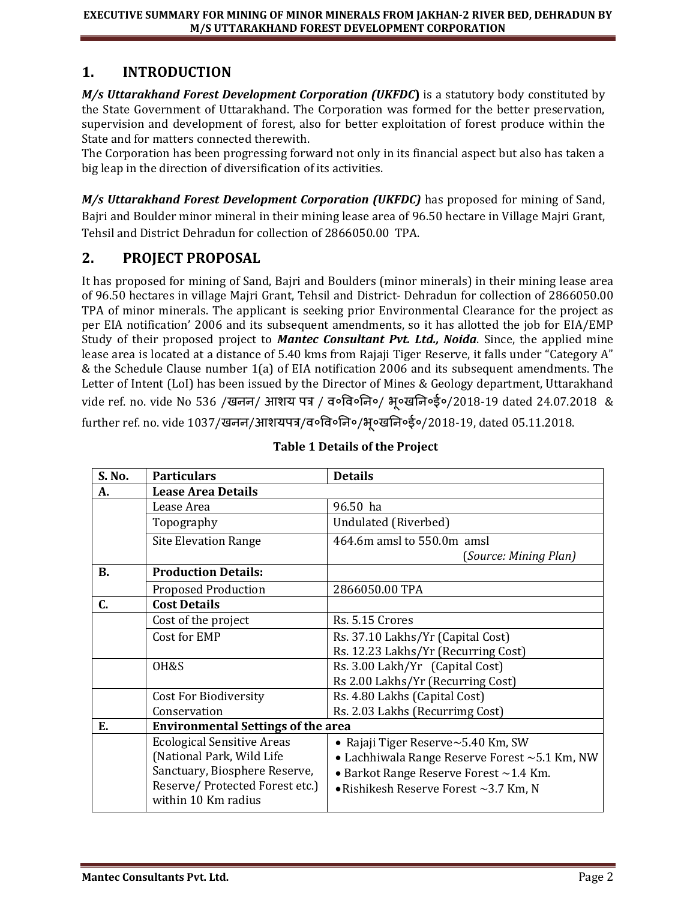# **1. INTRODUCTION**

*M/s Uttarakhand Forest Development Corporation (UKFDC***)** is a statutory body constituted by the State Government of Uttarakhand. The Corporation was formed for the better preservation, supervision and development of forest, also for better exploitation of forest produce within the State and for matters connected therewith.

The Corporation has been progressing forward not only in its financial aspect but also has taken a big leap in the direction of diversification of its activities.

*M/s Uttarakhand Forest Development Corporation (UKFDC)* has proposed for mining of Sand, Bajri and Boulder minor mineral in their mining lease area of 96.50 hectare in Village Majri Grant, Tehsil and District Dehradun for collection of 2866050.00 TPA.

# **2. PROJECT PROPOSAL**

It has proposed for mining of Sand, Bajri and Boulders (minor minerals) in their mining lease area of 96.50 hectares in village Majri Grant, Tehsil and District- Dehradun for collection of 2866050.00 TPA of minor minerals. The applicant is seeking prior Environmental Clearance for the project as per EIA notification' 2006 and its subsequent amendments, so it has allotted the job for EIA/EMP Study of their proposed project to *Mantec Consultant Pvt. Ltd., Noida*. Since, the applied mine lease area is located at a distance of 5.40 kms from Rajaji Tiger Reserve, it falls under "Category A" & the Schedule Clause number 1(a) of EIA notification 2006 and its subsequent amendments. The Letter of Intent (LoI) has been issued by the Director of Mines & Geology department, Uttarakhand vide ref. no. vide No 536 /खनन/ आशय पत्र / व०वव०नन०/ भू०खनन०ई०/2018-19 dated 24.07.2018 & further ref. no. vide 1037/खनन/आशयपत्र/व०वव०नन०/भू०खनन०ई०/2018-19, dated 05.11.2018.

| S. No.    | <b>Particulars</b>                        | <b>Details</b>                                      |  |  |
|-----------|-------------------------------------------|-----------------------------------------------------|--|--|
| А.        | <b>Lease Area Details</b>                 |                                                     |  |  |
|           | Lease Area                                | 96.50 ha                                            |  |  |
|           | Topography                                | Undulated (Riverbed)                                |  |  |
|           | <b>Site Elevation Range</b>               | 464.6m amsl to 550.0m amsl                          |  |  |
|           |                                           | (Source: Mining Plan)                               |  |  |
| <b>B.</b> | <b>Production Details:</b>                |                                                     |  |  |
|           | <b>Proposed Production</b>                | 2866050.00 TPA                                      |  |  |
| C.        | <b>Cost Details</b>                       |                                                     |  |  |
|           | Cost of the project                       | Rs. 5.15 Crores                                     |  |  |
|           | Cost for EMP                              | Rs. 37.10 Lakhs/Yr (Capital Cost)                   |  |  |
|           |                                           | Rs. 12.23 Lakhs/Yr (Recurring Cost)                 |  |  |
|           | OH&S                                      | Rs. 3.00 Lakh/Yr (Capital Cost)                     |  |  |
|           |                                           | Rs 2.00 Lakhs/Yr (Recurring Cost)                   |  |  |
|           | <b>Cost For Biodiversity</b>              | Rs. 4.80 Lakhs (Capital Cost)                       |  |  |
|           | Conservation                              | Rs. 2.03 Lakhs (Recurrimg Cost)                     |  |  |
| E.        | <b>Environmental Settings of the area</b> |                                                     |  |  |
|           | <b>Ecological Sensitive Areas</b>         | • Rajaji Tiger Reserve $\sim$ 5.40 Km, SW           |  |  |
|           | (National Park, Wild Life                 | • Lachhiwala Range Reserve Forest $\sim$ 5.1 Km, NW |  |  |
|           | Sanctuary, Biosphere Reserve,             | • Barkot Range Reserve Forest ~1.4 Km.              |  |  |
|           | Reserve/Protected Forest etc.)            | $\bullet$ Rishikesh Reserve Forest $\sim$ 3.7 Km, N |  |  |
|           | within 10 Km radius                       |                                                     |  |  |

# **Table 1 Details of the Project**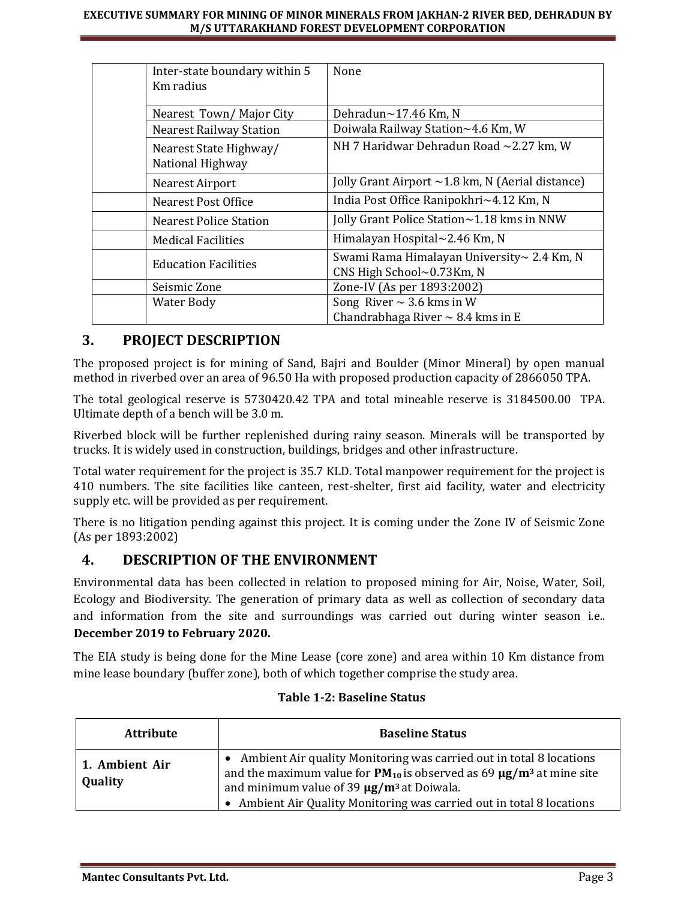| Inter-state boundary within 5<br>Km radius | None                                                                    |
|--------------------------------------------|-------------------------------------------------------------------------|
| Nearest Town/Major City                    | Dehradun~17.46 Km, N                                                    |
| <b>Nearest Railway Station</b>             | Doiwala Railway Station~4.6 Km, W                                       |
| Nearest State Highway/<br>National Highway | NH 7 Haridwar Dehradun Road ~2.27 km, W                                 |
| Nearest Airport                            | Jolly Grant Airport $\sim$ 1.8 km, N (Aerial distance)                  |
| Nearest Post Office                        | India Post Office Ranipokhri~4.12 Km, N                                 |
| Nearest Police Station                     | Jolly Grant Police Station~1.18 kms in NNW                              |
| <b>Medical Facilities</b>                  | Himalayan Hospital $\sim$ 2.46 Km, N                                    |
| <b>Education Facilities</b>                | Swami Rama Himalayan University~ 2.4 Km, N<br>CNS High School~0.73Km, N |
| Seismic Zone                               | Zone-IV (As per 1893:2002)                                              |
| Water Body                                 | Song River $\sim$ 3.6 kms in W                                          |
|                                            | Chandrabhaga River $\sim$ 8.4 kms in E                                  |

# **3. PROJECT DESCRIPTION**

The proposed project is for mining of Sand, Bajri and Boulder (Minor Mineral) by open manual method in riverbed over an area of 96.50 Ha with proposed production capacity of 2866050 TPA.

The total geological reserve is 5730420.42 TPA and total mineable reserve is 3184500.00 TPA. Ultimate depth of a bench will be 3.0 m.

Riverbed block will be further replenished during rainy season. Minerals will be transported by trucks. It is widely used in construction, buildings, bridges and other infrastructure.

Total water requirement for the project is 35.7 KLD. Total manpower requirement for the project is 410 numbers. The site facilities like canteen, rest-shelter, first aid facility, water and electricity supply etc. will be provided as per requirement.

There is no litigation pending against this project. It is coming under the Zone IV of Seismic Zone (As per 1893:2002)

# **4. DESCRIPTION OF THE ENVIRONMENT**

Environmental data has been collected in relation to proposed mining for Air, Noise, Water, Soil, Ecology and Biodiversity. The generation of primary data as well as collection of secondary data and information from the site and surroundings was carried out during winter season i.e.. **December 2019 to February 2020.**

The EIA study is being done for the Mine Lease (core zone) and area within 10 Km distance from mine lease boundary (buffer zone), both of which together comprise the study area.

| <b>Attribute</b>          | <b>Baseline Status</b>                                                                                                                                                                                                                                                                                  |
|---------------------------|---------------------------------------------------------------------------------------------------------------------------------------------------------------------------------------------------------------------------------------------------------------------------------------------------------|
| 1. Ambient Air<br>Quality | • Ambient Air quality Monitoring was carried out in total 8 locations<br>and the maximum value for $PM_{10}$ is observed as 69 $\mu$ g/m <sup>3</sup> at mine site<br>and minimum value of 39 $\mu$ g/m <sup>3</sup> at Doiwala.<br>Ambient Air Quality Monitoring was carried out in total 8 locations |

## **Table 1-2: Baseline Status**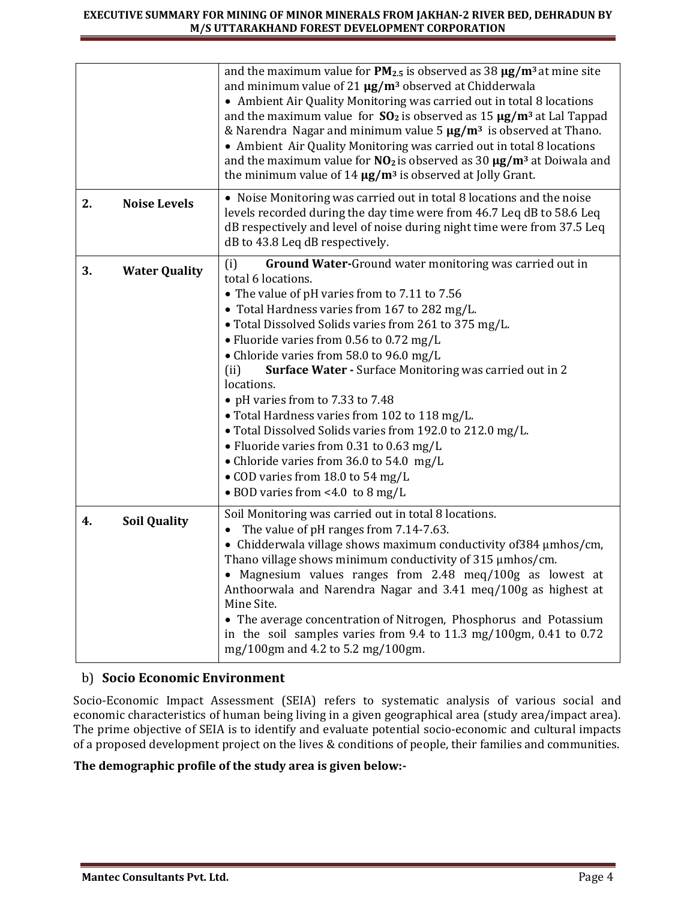|    |                      | and the maximum value for $PM_{2.5}$ is observed as 38 $\mu$ g/m <sup>3</sup> at mine site<br>and minimum value of 21 $\mu$ g/m <sup>3</sup> observed at Chidderwala<br>• Ambient Air Quality Monitoring was carried out in total 8 locations<br>and the maximum value for $SO_2$ is observed as 15 $\mu$ g/m <sup>3</sup> at Lal Tappad<br>& Narendra Nagar and minimum value 5 $\mu$ g/m <sup>3</sup> is observed at Thano.<br>• Ambient Air Quality Monitoring was carried out in total 8 locations<br>and the maximum value for $NO2$ is observed as 30 $\mu$ g/m <sup>3</sup> at Doiwala and<br>the minimum value of $14 \mu g/m^3$ is observed at Jolly Grant.                                                                                |
|----|----------------------|-----------------------------------------------------------------------------------------------------------------------------------------------------------------------------------------------------------------------------------------------------------------------------------------------------------------------------------------------------------------------------------------------------------------------------------------------------------------------------------------------------------------------------------------------------------------------------------------------------------------------------------------------------------------------------------------------------------------------------------------------------|
| 2. | <b>Noise Levels</b>  | • Noise Monitoring was carried out in total 8 locations and the noise<br>levels recorded during the day time were from 46.7 Leq dB to 58.6 Leq<br>dB respectively and level of noise during night time were from 37.5 Leq<br>dB to 43.8 Leq dB respectively.                                                                                                                                                                                                                                                                                                                                                                                                                                                                                        |
| 3. | <b>Water Quality</b> | <b>Ground Water-</b> Ground water monitoring was carried out in<br>(i)<br>total 6 locations.<br>• The value of pH varies from to 7.11 to 7.56<br>• Total Hardness varies from 167 to 282 mg/L.<br>• Total Dissolved Solids varies from 261 to 375 mg/L.<br>• Fluoride varies from 0.56 to 0.72 mg/L<br>• Chloride varies from 58.0 to 96.0 mg/L<br>Surface Water - Surface Monitoring was carried out in 2<br>(ii)<br>locations.<br>• pH varies from to 7.33 to 7.48<br>• Total Hardness varies from 102 to 118 mg/L.<br>• Total Dissolved Solids varies from 192.0 to 212.0 mg/L.<br>• Fluoride varies from 0.31 to 0.63 mg/L<br>• Chloride varies from 36.0 to 54.0 mg/L<br>• COD varies from 18.0 to 54 mg/L<br>• BOD varies from <4.0 to 8 mg/L |
| 4. | <b>Soil Quality</b>  | Soil Monitoring was carried out in total 8 locations.<br>The value of pH ranges from 7.14-7.63.<br>• Chidderwala village shows maximum conductivity of 384 µmhos/cm,<br>Thano village shows minimum conductivity of 315 µmhos/cm.<br>Magnesium values ranges from 2.48 meq/100g as lowest at<br>Anthoorwala and Narendra Nagar and 3.41 meq/100g as highest at<br>Mine Site.<br>• The average concentration of Nitrogen, Phosphorus and Potassium<br>in the soil samples varies from 9.4 to 11.3 mg/100gm, 0.41 to 0.72<br>mg/100gm and 4.2 to 5.2 mg/100gm.                                                                                                                                                                                        |

# b) **Socio Economic Environment**

Socio-Economic Impact Assessment (SEIA) refers to systematic analysis of various social and economic characteristics of human being living in a given geographical area (study area/impact area). The prime objective of SEIA is to identify and evaluate potential socio-economic and cultural impacts of a proposed development project on the lives & conditions of people, their families and communities.

## **The demographic profile of the study area is given below:-**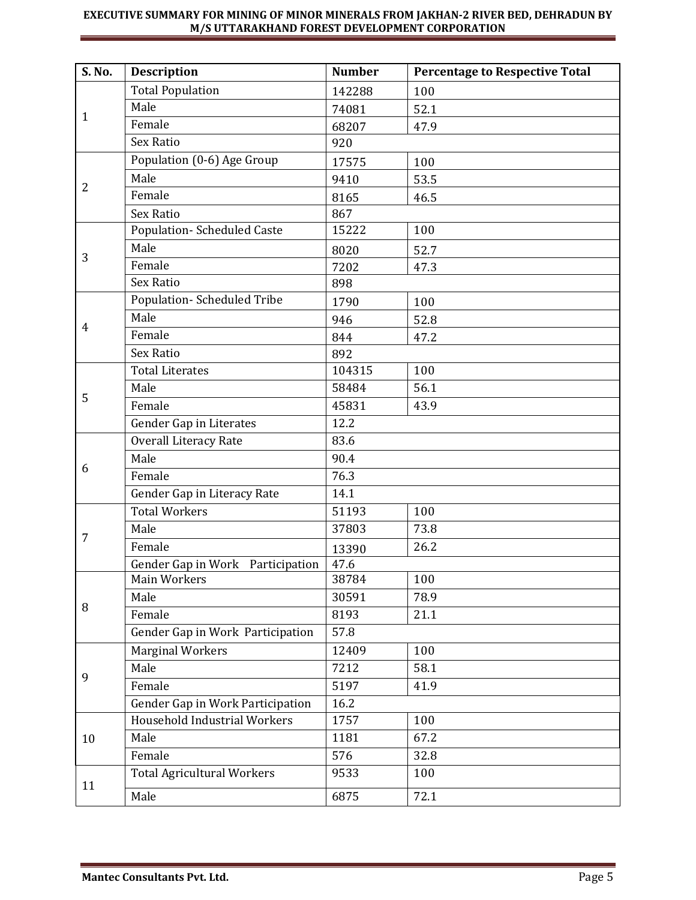| <b>S. No.</b> | <b>Description</b>                | <b>Number</b> | <b>Percentage to Respective Total</b> |  |
|---------------|-----------------------------------|---------------|---------------------------------------|--|
| 1             | <b>Total Population</b>           | 142288        | 100                                   |  |
|               | Male                              | 74081         | 52.1                                  |  |
|               | Female                            | 68207         | 47.9                                  |  |
|               | <b>Sex Ratio</b>                  | 920           |                                       |  |
|               | Population (0-6) Age Group        | 17575         | 100                                   |  |
|               | Male                              | 9410          | 53.5                                  |  |
| 2             | Female                            | 8165          | 46.5                                  |  |
|               | Sex Ratio                         | 867           |                                       |  |
|               | <b>Population-Scheduled Caste</b> | 15222         | 100                                   |  |
| 3             | Male                              | 8020          | 52.7                                  |  |
|               | Female                            | 7202          | 47.3                                  |  |
|               | Sex Ratio                         | 898           |                                       |  |
|               | Population-Scheduled Tribe        | 1790          | 100                                   |  |
|               | Male                              | 946           | 52.8                                  |  |
| 4             | Female                            | 844           | 47.2                                  |  |
|               | <b>Sex Ratio</b>                  | 892           |                                       |  |
|               | <b>Total Literates</b>            | 104315        | 100                                   |  |
|               | Male                              | 58484         | 56.1                                  |  |
| 5             | Female                            | 45831         | 43.9                                  |  |
|               | Gender Gap in Literates           | 12.2          |                                       |  |
|               | <b>Overall Literacy Rate</b>      | 83.6          |                                       |  |
|               | Male                              | 90.4          |                                       |  |
| 6             | Female                            | 76.3          |                                       |  |
|               | Gender Gap in Literacy Rate       | 14.1          |                                       |  |
|               | <b>Total Workers</b>              | 51193         | 100                                   |  |
| 7             | Male                              | 37803         | 73.8                                  |  |
|               | Female                            | 13390         | 26.2                                  |  |
|               | Gender Gap in Work Participation  | 47.6          |                                       |  |
|               | Main Workers                      | 38784         | 100                                   |  |
| 8             | Male                              | 30591         | 78.9                                  |  |
|               | Female                            | 8193          | 21.1                                  |  |
|               | Gender Gap in Work Participation  |               | 57.8                                  |  |
|               | <b>Marginal Workers</b>           | 12409         | 100                                   |  |
| 9             | Male                              | 7212          | 58.1                                  |  |
|               | Female                            | 5197          | 41.9                                  |  |
|               | Gender Gap in Work Participation  | 16.2          |                                       |  |
|               | Household Industrial Workers      | 1757          | 100                                   |  |
| 10            | Male                              | 1181          | 67.2                                  |  |
|               | Female                            | 576           | 32.8                                  |  |
| 11            | <b>Total Agricultural Workers</b> | 9533          | 100                                   |  |
|               | Male                              | 6875          | 72.1                                  |  |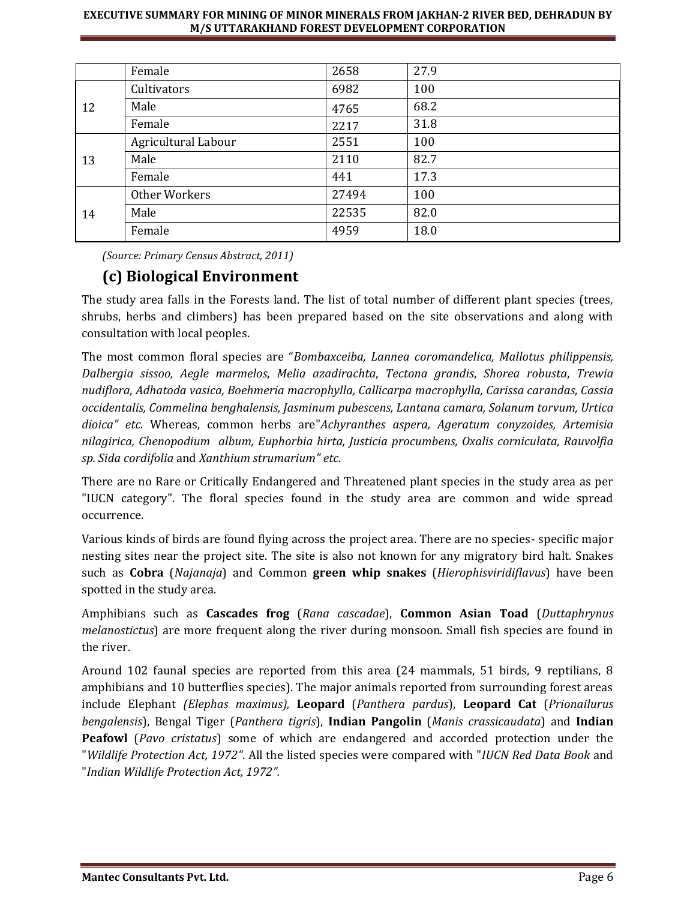|    | Female              | 2658  | 27.9 |
|----|---------------------|-------|------|
| 12 | Cultivators         | 6982  | 100  |
|    | Male                | 4765  | 68.2 |
|    | Female              | 2217  | 31.8 |
| 13 | Agricultural Labour | 2551  | 100  |
|    | Male                | 2110  | 82.7 |
|    | Female              | 441   | 17.3 |
| 14 | Other Workers       | 27494 | 100  |
|    | Male                | 22535 | 82.0 |
|    | Female              | 4959  | 18.0 |

*(Source: Primary Census Abstract, 2011)*

# **(c) Biological Environment**

The study area falls in the Forests land. The list of total number of different plant species (trees, shrubs, herbs and climbers) has been prepared based on the site observations and along with consultation with local peoples.

The most common floral species are "*Bombaxceiba, Lannea coromandelica, Mallotus philippensis, Dalbergia sissoo, Aegle marmelos*, *Melia azadirachta*, *Tectona grandis*, *Shorea robusta*, *Trewia nudiflora*, *Adhatoda vasica, Boehmeria macrophylla, Callicarpa macrophylla, Carissa carandas, Cassia occidentalis, Commelina benghalensis, Jasminum pubescens, Lantana camara, Solanum torvum, Urtica dioica" etc.* Whereas, common herbs are"*Achyranthes aspera, Ageratum conyzoides, Artemisia nilagirica, Chenopodium album, Euphorbia hirta, Justicia procumbens, Oxalis corniculata, Rauvolfia sp. Sida cordifolia* and *Xanthium strumarium" etc.*

There are no Rare or Critically Endangered and Threatened plant species in the study area as per "IUCN category". The floral species found in the study area are common and wide spread occurrence.

Various kinds of birds are found flying across the project area. There are no species- specific major nesting sites near the project site. The site is also not known for any migratory bird halt. Snakes such as **Cobra** (*Najanaja*) and Common **green whip snakes** (*Hierophisviridiflavus*) have been spotted in the study area.

Amphibians such as **Cascades frog** (*Rana cascadae*), **Common Asian Toad** (*Duttaphrynus melanostictus*) are more frequent along the river during monsoon. Small fish species are found in the river.

Around 102 faunal species are reported from this area (24 mammals, 51 birds, 9 reptilians, 8 amphibians and 10 butterflies species). The major animals reported from surrounding forest areas include Elephant *(Elephas maximus),* **Leopard** (*Panthera pardus*), **Leopard Cat** (*Prionailurus bengalensis*), Bengal Tiger (*Panthera tigris*), **Indian Pangolin** (*Manis crassicaudata*) and **Indian Peafowl** (*Pavo cristatus*) some of which are endangered and accorded protection under the "*Wildlife Protection Act, 1972"*. All the listed species were compared with "*IUCN Red Data Book* and "*Indian Wildlife Protection Act, 1972".*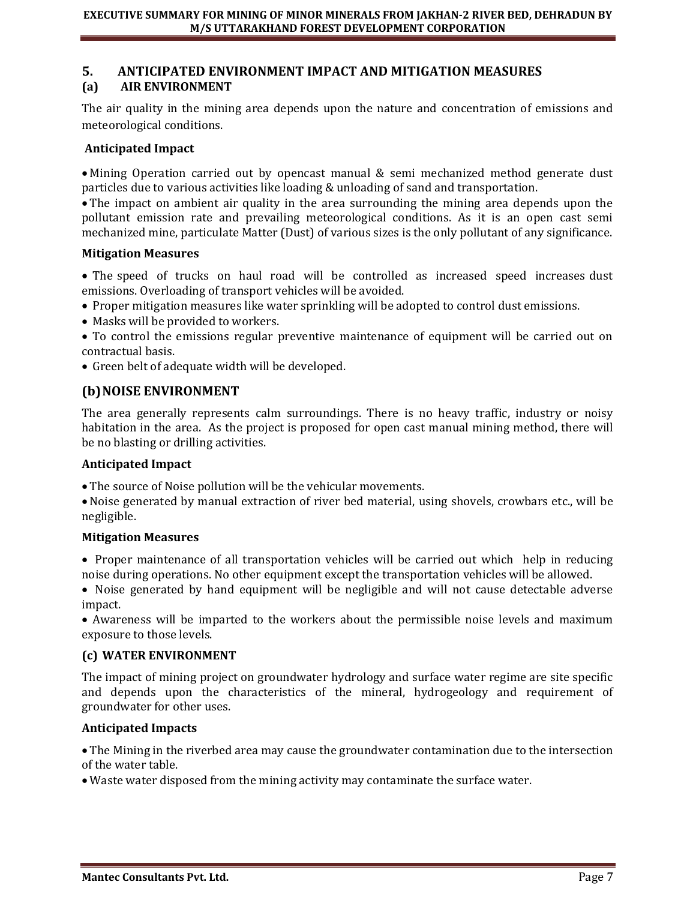#### **5. ANTICIPATED ENVIRONMENT IMPACT AND MITIGATION MEASURES (a) AIR ENVIRONMENT**

The air quality in the mining area depends upon the nature and concentration of emissions and meteorological conditions.

#### **Anticipated Impact**

• Mining Operation carried out by opencast manual & semi mechanized method generate dust particles due to various activities like loading & unloading of sand and transportation.

• The impact on ambient air quality in the area surrounding the mining area depends upon the pollutant emission rate and prevailing meteorological conditions. As it is an open cast semi mechanized mine, particulate Matter (Dust) of various sizes is the only pollutant of any significance.

#### **Mitigation Measures**

• The speed of trucks on haul road will be controlled as increased speed increases dust emissions. Overloading of transport vehicles will be avoided.

- Proper mitigation measures like water sprinkling will be adopted to control dust emissions.
- Masks will be provided to workers.
- To control the emissions regular preventive maintenance of equipment will be carried out on contractual basis.
- Green belt of adequate width will be developed.

## **(b) NOISE ENVIRONMENT**

The area generally represents calm surroundings. There is no heavy traffic, industry or noisy habitation in the area. As the project is proposed for open cast manual mining method, there will be no blasting or drilling activities.

#### **Anticipated Impact**

• The source of Noise pollution will be the vehicular movements.

• Noise generated by manual extraction of river bed material, using shovels, crowbars etc., will be negligible.

#### **Mitigation Measures**

• Proper maintenance of all transportation vehicles will be carried out which help in reducing noise during operations. No other equipment except the transportation vehicles will be allowed.

• Noise generated by hand equipment will be negligible and will not cause detectable adverse impact.

• Awareness will be imparted to the workers about the permissible noise levels and maximum exposure to those levels.

#### **(c) WATER ENVIRONMENT**

The impact of mining project on groundwater hydrology and surface water regime are site specific and depends upon the characteristics of the mineral, hydrogeology and requirement of groundwater for other uses.

## **Anticipated Impacts**

• The Mining in the riverbed area may cause the groundwater contamination due to the intersection of the water table.

• Waste water disposed from the mining activity may contaminate the surface water.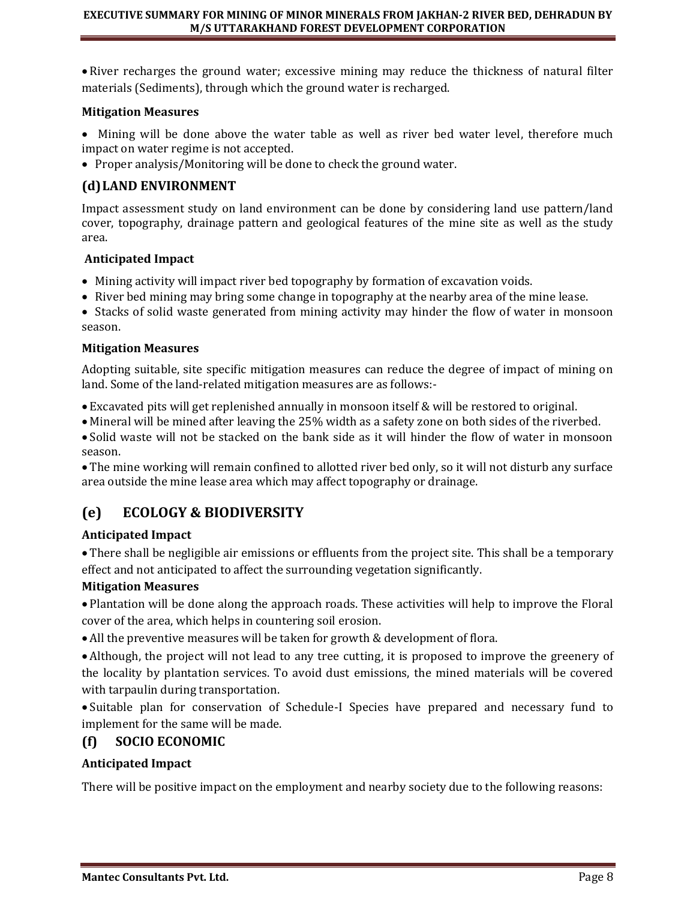• River recharges the ground water; excessive mining may reduce the thickness of natural filter materials (Sediments), through which the ground water is recharged.

#### **Mitigation Measures**

- Mining will be done above the water table as well as river bed water level, therefore much impact on water regime is not accepted.
- Proper analysis/Monitoring will be done to check the ground water.

# **(d)LAND ENVIRONMENT**

Impact assessment study on land environment can be done by considering land use pattern/land cover, topography, drainage pattern and geological features of the mine site as well as the study area.

#### **Anticipated Impact**

- Mining activity will impact river bed topography by formation of excavation voids.
- River bed mining may bring some change in topography at the nearby area of the mine lease.

• Stacks of solid waste generated from mining activity may hinder the flow of water in monsoon season.

#### **Mitigation Measures**

Adopting suitable, site specific mitigation measures can reduce the degree of impact of mining on land. Some of the land-related mitigation measures are as follows:-

• Excavated pits will get replenished annually in monsoon itself & will be restored to original.

• Mineral will be mined after leaving the 25% width as a safety zone on both sides of the riverbed.

• Solid waste will not be stacked on the bank side as it will hinder the flow of water in monsoon season.

• The mine working will remain confined to allotted river bed only, so it will not disturb any surface area outside the mine lease area which may affect topography or drainage.

# **(e) ECOLOGY & BIODIVERSITY**

## **Anticipated Impact**

• There shall be negligible air emissions or effluents from the project site. This shall be a temporary effect and not anticipated to affect the surrounding vegetation significantly.

## **Mitigation Measures**

• Plantation will be done along the approach roads. These activities will help to improve the Floral cover of the area, which helps in countering soil erosion.

• All the preventive measures will be taken for growth & development of flora.

• Although, the project will not lead to any tree cutting, it is proposed to improve the greenery of the locality by plantation services. To avoid dust emissions, the mined materials will be covered with tarpaulin during transportation.

• Suitable plan for conservation of Schedule-I Species have prepared and necessary fund to implement for the same will be made.

# **(f) SOCIO ECONOMIC**

## **Anticipated Impact**

There will be positive impact on the employment and nearby society due to the following reasons: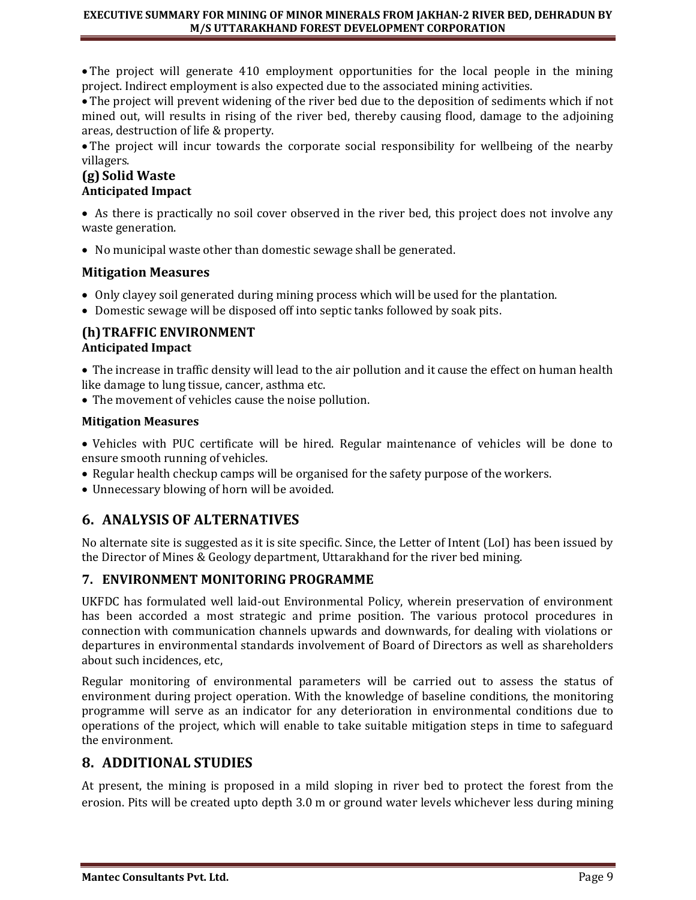• The project will generate 410 employment opportunities for the local people in the mining project. Indirect employment is also expected due to the associated mining activities.

• The project will prevent widening of the river bed due to the deposition of sediments which if not mined out, will results in rising of the river bed, thereby causing flood, damage to the adjoining areas, destruction of life & property.

• The project will incur towards the corporate social responsibility for wellbeing of the nearby villagers.

# **(g) Solid Waste Anticipated Impact**

• As there is practically no soil cover observed in the river bed, this project does not involve any waste generation.

• No municipal waste other than domestic sewage shall be generated.

# **Mitigation Measures**

- Only clayey soil generated during mining process which will be used for the plantation.
- Domestic sewage will be disposed off into septic tanks followed by soak pits.

# **(h)TRAFFIC ENVIRONMENT Anticipated Impact**

• The increase in traffic density will lead to the air pollution and it cause the effect on human health like damage to lung tissue, cancer, asthma etc.

• The movement of vehicles cause the noise pollution.

## **Mitigation Measures**

• Vehicles with PUC certificate will be hired. Regular maintenance of vehicles will be done to ensure smooth running of vehicles.

- Regular health checkup camps will be organised for the safety purpose of the workers.
- Unnecessary blowing of horn will be avoided.

# **6. ANALYSIS OF ALTERNATIVES**

No alternate site is suggested as it is site specific. Since, the Letter of Intent (LoI) has been issued by the Director of Mines & Geology department, Uttarakhand for the river bed mining.

## **7. ENVIRONMENT MONITORING PROGRAMME**

UKFDC has formulated well laid-out Environmental Policy, wherein preservation of environment has been accorded a most strategic and prime position. The various protocol procedures in connection with communication channels upwards and downwards, for dealing with violations or departures in environmental standards involvement of Board of Directors as well as shareholders about such incidences, etc,

Regular monitoring of environmental parameters will be carried out to assess the status of environment during project operation. With the knowledge of baseline conditions, the monitoring programme will serve as an indicator for any deterioration in environmental conditions due to operations of the project, which will enable to take suitable mitigation steps in time to safeguard the environment.

# **8. ADDITIONAL STUDIES**

At present, the mining is proposed in a mild sloping in river bed to protect the forest from the erosion. Pits will be created upto depth 3.0 m or ground water levels whichever less during mining